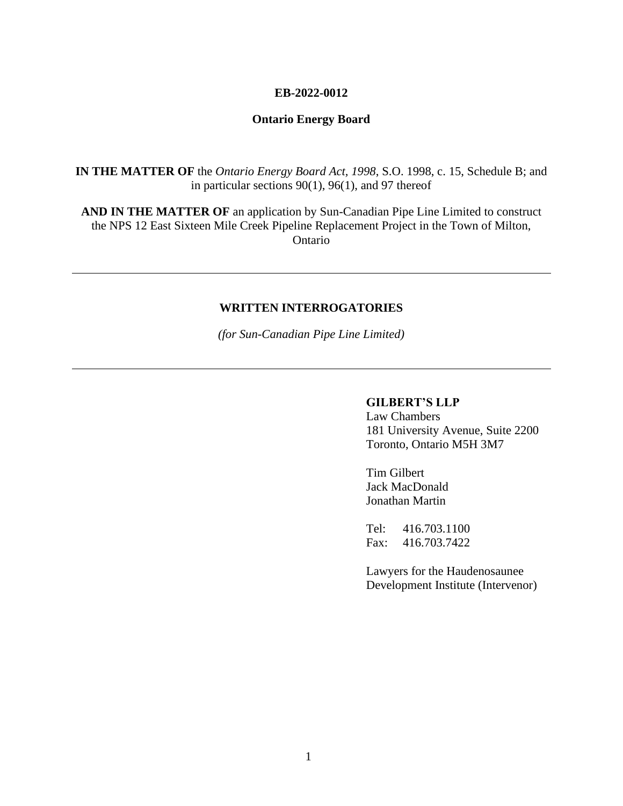#### **EB-2022-0012**

## **Ontario Energy Board**

**IN THE MATTER OF** the *Ontario Energy Board Act, 1998*, S.O. 1998, c. 15, Schedule B; and in particular sections 90(1), 96(1), and 97 thereof

**AND IN THE MATTER OF** an application by Sun-Canadian Pipe Line Limited to construct the NPS 12 East Sixteen Mile Creek Pipeline Replacement Project in the Town of Milton, Ontario

#### **WRITTEN INTERROGATORIES**

*(for Sun-Canadian Pipe Line Limited)*

#### **GILBERT'S LLP**

Law Chambers 181 University Avenue, Suite 2200 Toronto, Ontario M5H 3M7

Tim Gilbert Jack MacDonald Jonathan Martin

Tel: 416.703.1100 Fax: 416.703.7422

Lawyers for the Haudenosaunee Development Institute (Intervenor)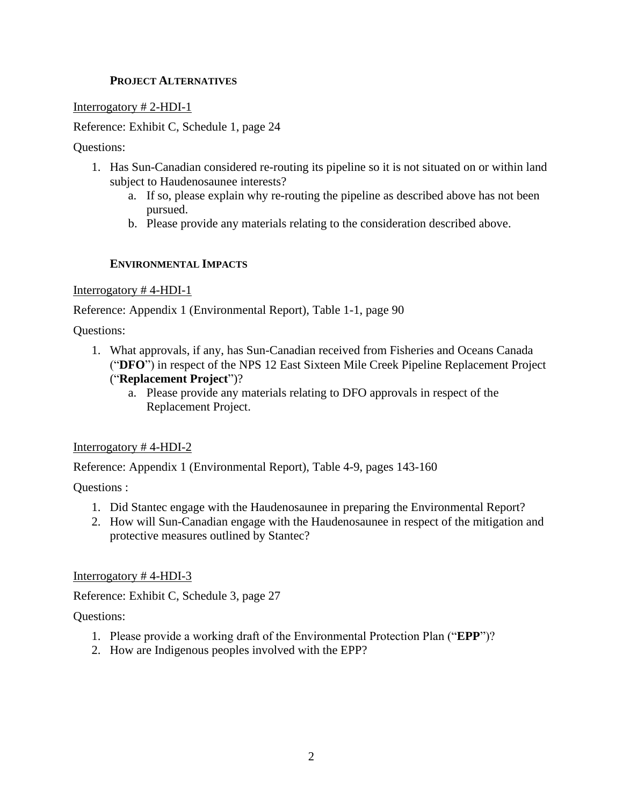## **PROJECT ALTERNATIVES**

Interrogatory # 2-HDI-1

Reference: Exhibit C, Schedule 1, page 24

Questions:

- 1. Has Sun-Canadian considered re-routing its pipeline so it is not situated on or within land subject to Haudenosaunee interests?
	- a. If so, please explain why re-routing the pipeline as described above has not been pursued.
	- b. Please provide any materials relating to the consideration described above.

## **ENVIRONMENTAL IMPACTS**

## Interrogatory # 4-HDI-1

Reference: Appendix 1 (Environmental Report), Table 1-1, page 90

Questions:

- 1. What approvals, if any, has Sun-Canadian received from Fisheries and Oceans Canada ("**DFO**") in respect of the NPS 12 East Sixteen Mile Creek Pipeline Replacement Project ("**Replacement Project**")?
	- a. Please provide any materials relating to DFO approvals in respect of the Replacement Project.

# Interrogatory # 4-HDI-2

Reference: Appendix 1 (Environmental Report), Table 4-9, pages 143-160

Questions :

- 1. Did Stantec engage with the Haudenosaunee in preparing the Environmental Report?
- 2. How will Sun-Canadian engage with the Haudenosaunee in respect of the mitigation and protective measures outlined by Stantec?

Interrogatory # 4-HDI-3

Reference: Exhibit C, Schedule 3, page 27

Questions:

- 1. Please provide a working draft of the Environmental Protection Plan ("**EPP**")?
- 2. How are Indigenous peoples involved with the EPP?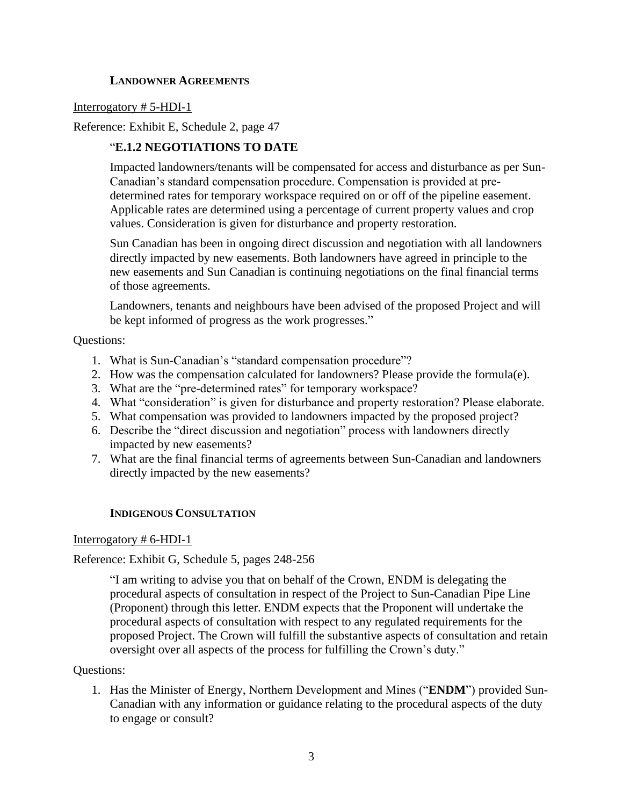## **LANDOWNER AGREEMENTS**

#### Interrogatory # 5-HDI-1

Reference: Exhibit E, Schedule 2, page 47

## "**E.1.2 NEGOTIATIONS TO DATE**

Impacted landowners/tenants will be compensated for access and disturbance as per Sun-Canadian's standard compensation procedure. Compensation is provided at predetermined rates for temporary workspace required on or off of the pipeline easement. Applicable rates are determined using a percentage of current property values and crop values. Consideration is given for disturbance and property restoration.

Sun Canadian has been in ongoing direct discussion and negotiation with all landowners directly impacted by new easements. Both landowners have agreed in principle to the new easements and Sun Canadian is continuing negotiations on the final financial terms of those agreements.

Landowners, tenants and neighbours have been advised of the proposed Project and will be kept informed of progress as the work progresses."

Questions:

- 1. What is Sun-Canadian's "standard compensation procedure"?
- 2. How was the compensation calculated for landowners? Please provide the formula(e).
- 3. What are the "pre-determined rates" for temporary workspace?
- 4. What "consideration" is given for disturbance and property restoration? Please elaborate.
- 5. What compensation was provided to landowners impacted by the proposed project?
- 6. Describe the "direct discussion and negotiation" process with landowners directly impacted by new easements?
- 7. What are the final financial terms of agreements between Sun-Canadian and landowners directly impacted by the new easements?

## **INDIGENOUS CONSULTATION**

#### Interrogatory # 6-HDI-1

## Reference: Exhibit G, Schedule 5, pages 248-256

"I am writing to advise you that on behalf of the Crown, ENDM is delegating the procedural aspects of consultation in respect of the Project to Sun-Canadian Pipe Line (Proponent) through this letter. ENDM expects that the Proponent will undertake the procedural aspects of consultation with respect to any regulated requirements for the proposed Project. The Crown will fulfill the substantive aspects of consultation and retain oversight over all aspects of the process for fulfilling the Crown's duty."

#### Questions:

1. Has the Minister of Energy, Northern Development and Mines ("**ENDM**") provided Sun-Canadian with any information or guidance relating to the procedural aspects of the duty to engage or consult?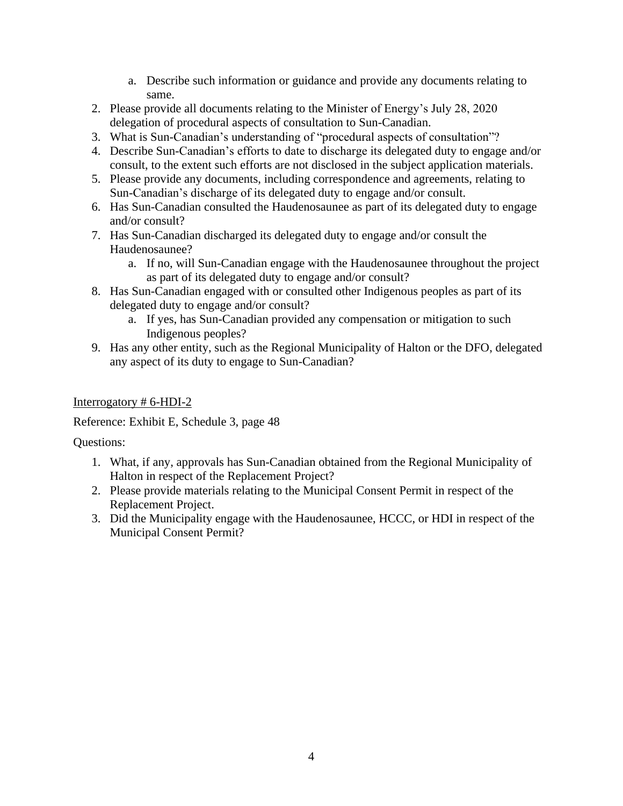- a. Describe such information or guidance and provide any documents relating to same.
- 2. Please provide all documents relating to the Minister of Energy's July 28, 2020 delegation of procedural aspects of consultation to Sun-Canadian.
- 3. What is Sun-Canadian's understanding of "procedural aspects of consultation"?
- 4. Describe Sun-Canadian's efforts to date to discharge its delegated duty to engage and/or consult, to the extent such efforts are not disclosed in the subject application materials.
- 5. Please provide any documents, including correspondence and agreements, relating to Sun-Canadian's discharge of its delegated duty to engage and/or consult.
- 6. Has Sun-Canadian consulted the Haudenosaunee as part of its delegated duty to engage and/or consult?
- 7. Has Sun-Canadian discharged its delegated duty to engage and/or consult the Haudenosaunee?
	- a. If no, will Sun-Canadian engage with the Haudenosaunee throughout the project as part of its delegated duty to engage and/or consult?
- 8. Has Sun-Canadian engaged with or consulted other Indigenous peoples as part of its delegated duty to engage and/or consult?
	- a. If yes, has Sun-Canadian provided any compensation or mitigation to such Indigenous peoples?
- 9. Has any other entity, such as the Regional Municipality of Halton or the DFO, delegated any aspect of its duty to engage to Sun-Canadian?

# Interrogatory # 6-HDI-2

Reference: Exhibit E, Schedule 3, page 48

Questions:

- 1. What, if any, approvals has Sun-Canadian obtained from the Regional Municipality of Halton in respect of the Replacement Project?
- 2. Please provide materials relating to the Municipal Consent Permit in respect of the Replacement Project.
- 3. Did the Municipality engage with the Haudenosaunee, HCCC, or HDI in respect of the Municipal Consent Permit?